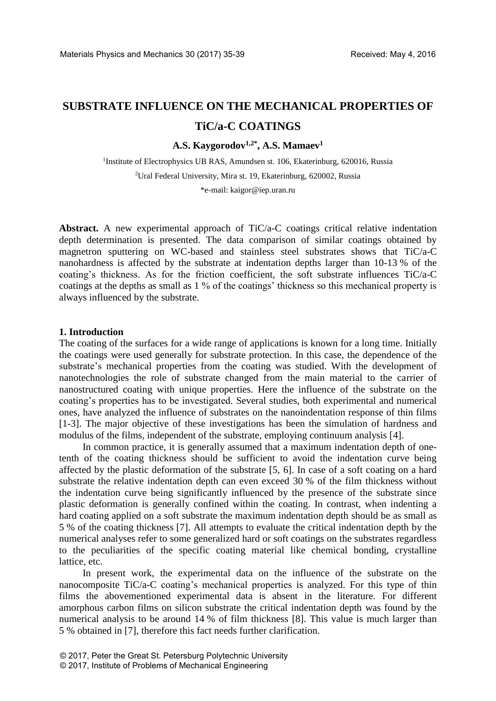# **SUBSTRATE INFLUENCE ON THE MECHANICAL PROPERTIES OF TiC/a-C COATINGS**

**A.S. Kaygorodov1,2\*, A.S. Mamaev<sup>1</sup>**

<sup>1</sup>Institute of Electrophysics UB RAS, Amundsen st. 106, Ekaterinburg, 620016, Russia <sup>2</sup>Ural Federal University, Mira st. 19, Ekaterinburg, 620002, Russia

\*e-mail[: kaigor@iep.uran.ru](mailto:kaigor@iep.uran.ru)

**Abstract.** A new experimental approach of TiC/a-C coatings critical relative indentation depth determination is presented. The data comparison of similar coatings obtained by magnetron sputtering on WC-based and stainless steel substrates shows that TiC/a-C nanohardness is affected by the substrate at indentation depths larger than 10-13 % of the coating's thickness. As for the friction coefficient, the soft substrate influences TiC/a-C coatings at the depths as small as 1 % of the coatings' thickness so this mechanical property is always influenced by the substrate.

## **1. Introduction**

The coating of the surfaces for a wide range of applications is known for a long time. Initially the coatings were used generally for substrate protection. In this case, the dependence of the substrate's mechanical properties from the coating was studied. With the development of nanotechnologies the role of substrate changed from the main material to the carrier of nanostructured coating with unique properties. Here the influence of the substrate on the coating's properties has to be investigated. Several studies, both experimental and numerical ones, have analyzed the influence of substrates on the nanoindentation response of thin films [1-3]. The major objective of these investigations has been the simulation of hardness and modulus of the films, independent of the substrate, employing continuum analysis [4].

In common practice, it is generally assumed that a maximum indentation depth of onetenth of the coating thickness should be sufficient to avoid the indentation curve being affected by the plastic deformation of the substrate [5, 6]. In case of a soft coating on a hard substrate the relative indentation depth can even exceed 30 % of the film thickness without the indentation curve being significantly influenced by the presence of the substrate since plastic deformation is generally confined within the coating. In contrast, when indenting a hard coating applied on a soft substrate the maximum indentation depth should be as small as 5 % of the coating thickness [7]. All attempts to evaluate the critical indentation depth by the numerical analyses refer to some generalized hard or soft coatings on the substrates regardless to the peculiarities of the specific coating material like chemical bonding, crystalline lattice, etc.

In present work, the experimental data on the influence of the substrate on the nanocomposite TiC/a-C coating's mechanical properties is analyzed. For this type of thin films the abovementioned experimental data is absent in the literature. For different amorphous carbon films on silicon substrate the critical indentation depth was found by the numerical analysis to be around 14 % of film thickness [8]. This value is much larger than 5 % obtained in [7], therefore this fact needs further clarification.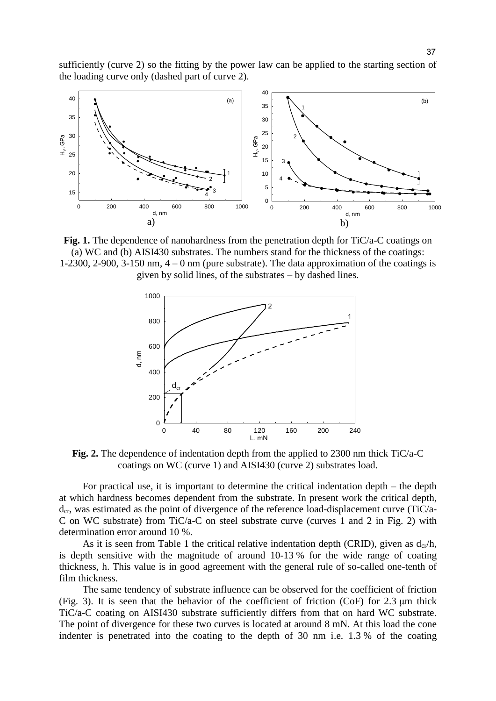sufficiently (curve 2) so the fitting by the power law can be applied to the starting section of the loading curve only (dashed part of curve 2).



**Fig. 1.** The dependence of nanohardness from the penetration depth for TiC/a-C coatings on (a) WC and (b) AISI430 substrates. The numbers stand for the thickness of the coatings: 1-2300, 2-900, 3-150 nm,  $4 - 0$  nm (pure substrate). The data approximation of the coatings is given by solid lines, of the substrates – by dashed lines.



**Fig. 2.** The dependence of indentation depth from the applied to 2300 nm thick TiC/a-C coatings on WC (curve 1) and AISI430 (curve 2) substrates load.

For practical use, it is important to determine the critical indentation depth – the depth at which hardness becomes dependent from the substrate. In present work the critical depth,  $d_{cr}$ , was estimated as the point of divergence of the reference load-displacement curve (TiC/a-C on WC substrate) from TiC/a-C on steel substrate curve (curves 1 and 2 in Fig. 2) with determination error around 10 %.

As it is seen from Table 1 the critical relative indentation depth (CRID), given as  $d_{cr}/h$ , is depth sensitive with the magnitude of around 10-13 % for the wide range of coating thickness, h. This value is in good agreement with the general rule of so-called one-tenth of film thickness.

The same tendency of substrate influence can be observed for the coefficient of friction (Fig. 3). It is seen that the behavior of the coefficient of friction (CoF) for 2.3 μm thick TiC/a-C coating on AISI430 substrate sufficiently differs from that on hard WC substrate. The point of divergence for these two curves is located at around 8 mN. At this load the cone indenter is penetrated into the coating to the depth of 30 nm i.e. 1.3 % of the coating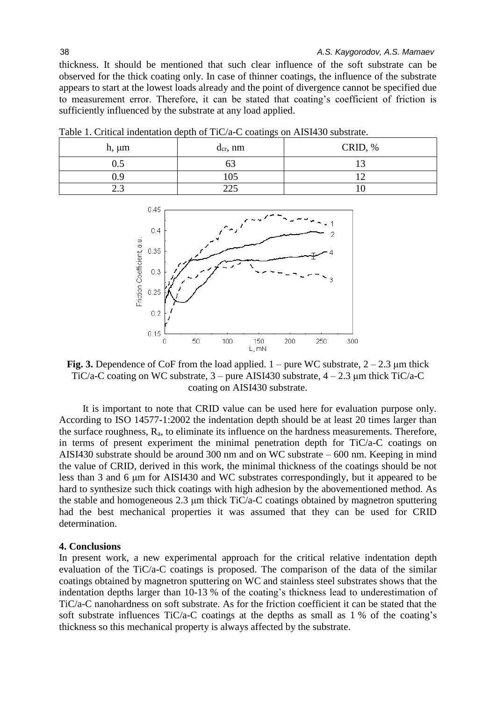thickness. It should be mentioned that such clear influence of the soft substrate can be observed for the thick coating only. In case of thinner coatings, the influence of the substrate appears to start at the lowest loads already and the point of divergence cannot be specified due to measurement error. Therefore, it can be stated that coating's coefficient of friction is sufficiently influenced by the substrate at any load applied.

| Table 1. Chucai muchiation ucput of Tic/a-C coatings on Albi+30 substrate. |               |                 |
|----------------------------------------------------------------------------|---------------|-----------------|
| h, um                                                                      | $d_{cr}$ , nm | . $\%$<br>CRID. |
| ن ر                                                                        |               |                 |

0.9 105 12 2.3 225 10

Table 1. Critical indentation depth of TiC/a-C coatings on AISI430 substrate.



**Fig. 3.** Dependence of CoF from the load applied.  $1 -$  pure WC substrate,  $2 - 2.3 \mu m$  thick TiC/a-C coating on WC substrate,  $3$  – pure AISI430 substrate,  $4 - 2.3$  µm thick TiC/a-C coating on AISI430 substrate.

It is important to note that CRID value can be used here for evaluation purpose only. According to ISO 14577-1:2002 the indentation depth should be at least 20 times larger than the surface roughness,  $R_a$ , to eliminate its influence on the hardness measurements. Therefore, in terms of present experiment the minimal penetration depth for TiC/a-C coatings on AISI430 substrate should be around 300 nm and on WC substrate – 600 nm. Keeping in mind the value of CRID, derived in this work, the minimal thickness of the coatings should be not less than 3 and 6 μm for AISI430 and WC substrates correspondingly, but it appeared to be hard to synthesize such thick coatings with high adhesion by the abovementioned method. As the stable and homogeneous 2.3 μm thick TiC/a-C coatings obtained by magnetron sputtering had the best mechanical properties it was assumed that they can be used for CRID determination.

## **4. Conclusions**

In present work, a new experimental approach for the critical relative indentation depth evaluation of the TiC/a-C coatings is proposed. The comparison of the data of the similar coatings obtained by magnetron sputtering on WC and stainless steel substrates shows that the indentation depths larger than 10-13 % of the coating's thickness lead to underestimation of TiC/a-C nanohardness on soft substrate. As for the friction coefficient it can be stated that the soft substrate influences TiC/a-C coatings at the depths as small as 1 % of the coating's thickness so this mechanical property is always affected by the substrate.